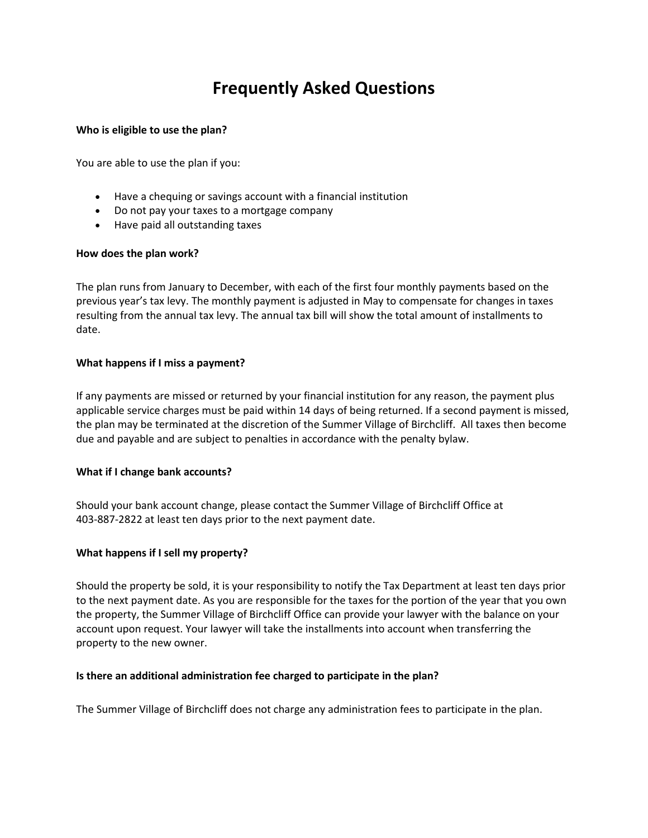# **Frequently Asked Questions**

#### **Who is eligible to use the plan?**

You are able to use the plan if you:

- Have a chequing or savings account with a financial institution
- Do not pay your taxes to a mortgage company
- Have paid all outstanding taxes

## **How does the plan work?**

The plan runs from January to December, with each of the first four monthly payments based on the previous year's tax levy. The monthly payment is adjusted in May to compensate for changes in taxes resulting from the annual tax levy. The annual tax bill will show the total amount of installments to date.

## **What happens if I miss a payment?**

If any payments are missed or returned by your financial institution for any reason, the payment plus applicable service charges must be paid within 14 days of being returned. If a second payment is missed, the plan may be terminated at the discretion of the Summer Village of Birchcliff. All taxes then become due and payable and are subject to penalties in accordance with the penalty bylaw.

## **What if I change bank accounts?**

Should your bank account change, please contact the Summer Village of Birchcliff Office at 403-887-2822 at least ten days prior to the next payment date.

## **What happens if I sell my property?**

Should the property be sold, it is your responsibility to notify the Tax Department at least ten days prior to the next payment date. As you are responsible for the taxes for the portion of the year that you own the property, the Summer Village of Birchcliff Office can provide your lawyer with the balance on your account upon request. Your lawyer will take the installments into account when transferring the property to the new owner.

## **Is there an additional administration fee charged to participate in the plan?**

The Summer Village of Birchcliff does not charge any administration fees to participate in the plan.